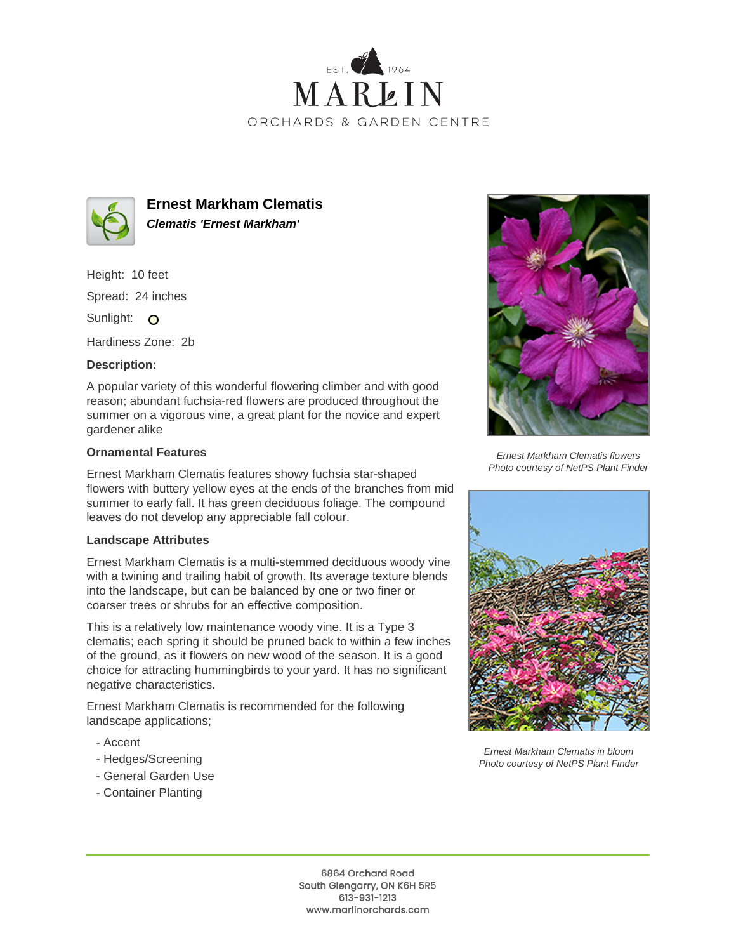



**Ernest Markham Clematis Clematis 'Ernest Markham'**

Height: 10 feet

Spread: 24 inches

Sunlight: O

Hardiness Zone: 2b

## **Description:**

A popular variety of this wonderful flowering climber and with good reason; abundant fuchsia-red flowers are produced throughout the summer on a vigorous vine, a great plant for the novice and expert gardener alike

## **Ornamental Features**

Ernest Markham Clematis features showy fuchsia star-shaped flowers with buttery yellow eyes at the ends of the branches from mid summer to early fall. It has green deciduous foliage. The compound leaves do not develop any appreciable fall colour.

## **Landscape Attributes**

Ernest Markham Clematis is a multi-stemmed deciduous woody vine with a twining and trailing habit of growth. Its average texture blends into the landscape, but can be balanced by one or two finer or coarser trees or shrubs for an effective composition.

This is a relatively low maintenance woody vine. It is a Type 3 clematis; each spring it should be pruned back to within a few inches of the ground, as it flowers on new wood of the season. It is a good choice for attracting hummingbirds to your yard. It has no significant negative characteristics.

Ernest Markham Clematis is recommended for the following landscape applications;

- Accent
- Hedges/Screening
- General Garden Use
- Container Planting



Ernest Markham Clematis flowers Photo courtesy of NetPS Plant Finder



Ernest Markham Clematis in bloom Photo courtesy of NetPS Plant Finder